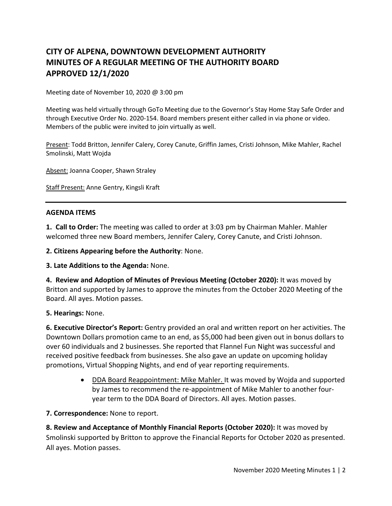# **CITY OF ALPENA, DOWNTOWN DEVELOPMENT AUTHORITY MINUTES OF A REGULAR MEETING OF THE AUTHORITY BOARD APPROVED 12/1/2020**

Meeting date of November 10, 2020 @ 3:00 pm

Meeting was held virtually through GoTo Meeting due to the Governor's Stay Home Stay Safe Order and through Executive Order No. 2020-154. Board members present either called in via phone or video. Members of the public were invited to join virtually as well.

Present: Todd Britton, Jennifer Calery, Corey Canute, Griffin James, Cristi Johnson, Mike Mahler, Rachel Smolinski, Matt Wojda

Absent: Joanna Cooper, Shawn Straley

Staff Present: Anne Gentry, Kingsli Kraft

#### **AGENDA ITEMS**

**1. Call to Order:** The meeting was called to order at 3:03 pm by Chairman Mahler. Mahler welcomed three new Board members, Jennifer Calery, Corey Canute, and Cristi Johnson.

**2. Citizens Appearing before the Authority**: None.

**3. Late Additions to the Agenda:** None.

**4. Review and Adoption of Minutes of Previous Meeting (October 2020):** It was moved by Britton and supported by James to approve the minutes from the October 2020 Meeting of the Board. All ayes. Motion passes.

### **5. Hearings:** None.

**6. Executive Director's Report:** Gentry provided an oral and written report on her activities. The Downtown Dollars promotion came to an end, as \$5,000 had been given out in bonus dollars to over 60 individuals and 2 businesses. She reported that Flannel Fun Night was successful and received positive feedback from businesses. She also gave an update on upcoming holiday promotions, Virtual Shopping Nights, and end of year reporting requirements.

> • DDA Board Reappointment: Mike Mahler. It was moved by Wojda and supported by James to recommend the re-appointment of Mike Mahler to another fouryear term to the DDA Board of Directors. All ayes. Motion passes.

### **7. Correspondence:** None to report.

**8. Review and Acceptance of Monthly Financial Reports (October 2020):** It was moved by Smolinski supported by Britton to approve the Financial Reports for October 2020 as presented. All ayes. Motion passes.